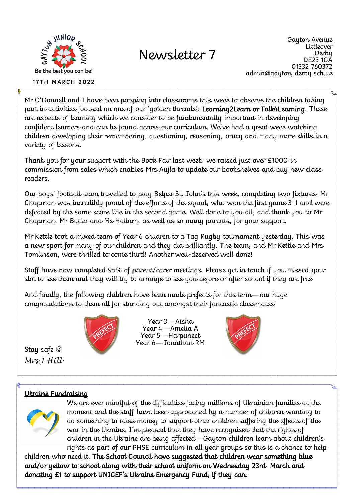

**17TH MARCH 2022** 

# Newsletter 7

Gayton Avenue Littleover **Derby** DE23 1GA 01332 760372 admin@gaytonj.derby.sch.uk

Mr O'Donnell and I have been popping into classrooms this week to observe the children taking part in activities focused on one of our 'golden threads': Learning2Learn or Talk4Learning. These are aspects of learning which we consider to be fundamentally important in developing confident learners and can be found across our curriculum. We've had a great week watching children developing their remembering, questioning, reasoning, oracy and many more skills in a variety of lessons.

Thank you for your support with the Book Fair last week: we raised just over £1000 in commission from sales which enables Mrs Aujla to update our bookshelves and buy new class readers.

Our boys' football team travelled to play Belper St. John's this week, completing two fixtures. Mr Chapman was incredibly proud of the efforts of the squad, who won the first game 3-1 and were defeated by the same score line in the second game. Well done to you all, and thank you to Mr Chapman, Mr Butler and Ms Hallam, as well as so many parents, for your support.

Mr Kettle took a mixed team of Year 6 children to a Tag Rugby tournament yesterday. This was a new sport for many of our children and they did brilliantly. The team, and Mr Kettle and Mrs Tomlinson, were thrilled to come third! Another well-deserved well done!

Staff have now completed 95% of parent/carer meetings. Please get in touch if you missed your slot to see them and they will try to arrange to see you before or after school if they are free.

And finally, the following children have been made prefects for this term—our huge congratulations to them all for standing out amongst their fantastic classmates!



Year 3—Aisha Year 4—Amelia A Year 5—Harpuneet Year 6—Jonathan RM



Stay safe *Mrs J Hill* 

#### Ukraine Fundraising



We are ever mindful of the difficulties facing millions of Ukrainian families at the moment and the staff have been approached by a number of children wanting to do something to raise money to support other children suffering the effects of the war in the Ukraine. I'm pleased that they have recognised that the rights of children in the Ukraine are being affected—Gayton children learn about children's rights as part of our PHSE curriculum in all year groups so this is a chance to help

children who need it. The School Council have suggested that children wear something blue and/or yellow to school along with their school uniform on Wednesday 23rd March and donating £1 to support UNICEF's Ukraine Emergency Fund, if they can.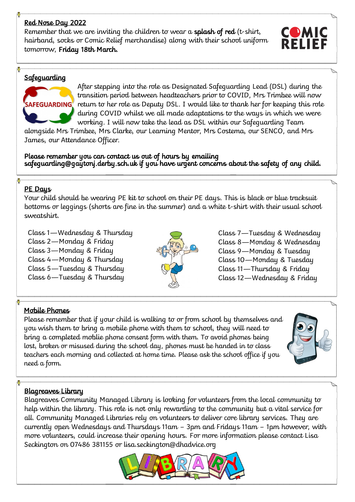#### Red Nose Day 2022

Remember that we are inviting the children to wear a **splash of red** (t-shirt, hairband, socks or Comic Relief merchandise) along with their school uniform tomorrow, Friday 18th March.



#### **Safeguarding**



After stepping into the role as Designated Safeguarding Lead (DSL) during the transition period between headteachers prior to COVID, Mrs Trimbee will now return to her role as Deputy DSL. I would like to thank her for keeping this role during COVID whilst we all made adaptations to the ways in which we were working. I will now take the lead as DSL within our Safeguarding Team

alongside Mrs Trimbee, Mrs Clarke, our Learning Mentor, Mrs Costema, our SENCO, and Mrs James, our Attendance Officer.

Please remember you can contact us out of hours by emailing safeguarding@gaytonj.derby.sch.uk if you have urgent concerns about the safety of any child.

#### PE Days

Your child should be wearing PE kit to school on their PE days. This is black or blue tracksuit bottoms or leggings (shorts are fine in the summer) and a white t-shirt with their usual school sweatshirt.

Class 1—Wednesday & Thursday Class 2—Monday & Friday Class 3—Monday & Friday Class 4—Monday & Thursday Class 5—Tuesday & Thursday Class 6—Tuesday & Thursday



Class 7—Tuesday & Wednesday Class 8—Monday & Wednesday Class 9—Monday & Tuesday Class 10—Monday & Tuesday Class 11—Thursday & Friday Class 12—Wednesday & Friday

#### Mobile Phones

Please remember that if your child is walking to or from school by themselves and you wish them to bring a mobile phone with them to school, they will need to bring a completed moblie phone consent form with them. To avoid phones being lost, broken or misused during the school day, phones must be handed in to class teachers each morning and collected at home time. Please ask the school office if you need a form.



#### Blagreaves Library

Blagreaves Community Managed Library is looking for volunteers from the local community to help within the library. This role is not only rewarding to the community but a vital service for all. Community Managed Libraries rely on volunteers to deliver core library services. They are currently open Wednesdays and Thursdays 11am – 3pm and Fridays 11am – 1pm however, with more volunteers, could increase their opening hours. For more information please contact Lisa Seckington on 07486 381155 or lisa.seckington@dhadvice.org

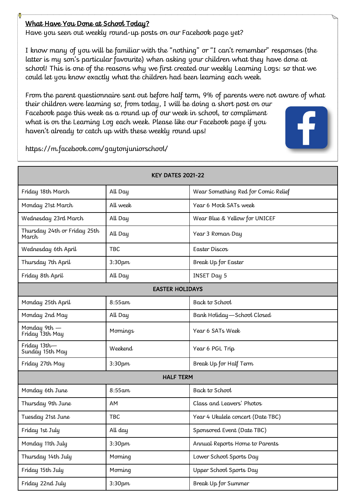#### What Have You Done at School Today?

Have you seen out weekly round-up posts on our Facebook page yet?

I know many of you will be familiar with the "nothing" or "I can't remember" responses (the latter is my son's particular favourite) when asking your children what they have done at school! This is one of the reasons why we first created our weekly Learning Logs: so that we could let you know exactly what the children had been learning each week.

From the parent questionnaire sent out before half term, 9% of parents were not aware of what their children were learning so, from today, I will be doing a short post on our Facebook page this week as a round up of our week in school, to compliment what is on the Learning Log each week. Please like our Facebook page if you haven't already to catch up with these weekly round ups!



https://m.facebook.com/gaytonjuniorschool/

| <b>KEY DATES 2021-22</b>              |            |                                     |
|---------------------------------------|------------|-------------------------------------|
| Friday 18th March                     | All Day    | Wear Something Red for Comic Relief |
| Monday 21st March                     | All week   | Year 6 Mock SATs week               |
| Wednesday 23rd March                  | All Day    | Wear Blue & Yellow for UNICEF       |
| Thursday 24th or Friday 25th<br>March | All Day    | Year 3 Roman Day                    |
| Wednesday 6th April                   | TBC        | Easter Discos                       |
| Thursday 7th April                    | 3:30pm     | Break Up for Easter                 |
| Friday 8th April                      | All Day    | <b>INSET Day 5</b>                  |
| <b>EASTER HOLIDAYS</b>                |            |                                     |
| Monday 25th April                     | $8:55$ am  | Back to School                      |
| Monday 2nd May                        | All Day    | Bank Holiday - School Closed        |
| Monday 9th -<br>Friday 13th May       | Mornings   | Year 6 SATs Week                    |
| Friday 13th-<br>Sunday 15th May       | Weekend    | Year 6 PGL Trip                     |
| Friday 27th May                       | 3:30pm     | Break Up for Half Term              |
| <b>HALF TERM</b>                      |            |                                     |
| Monday 6th June                       | $8:55$ am  | Back to School                      |
| Thursday 9th June                     | AM         | Class and Leavers' Photos           |
| Tuesday 21st June                     | <b>TBC</b> | Year 4 Ukulele concert (Date TBC)   |
| Friday 1st July                       | All day    | Sponsored Event (Date TBC)          |
| Monday 11th July                      | 3:30pm     | Annual Reports Home to Parents      |
| Thursday 14th July                    | Morning    | Lower School Sports Day             |
| Friday 15th July                      | Morning    | Upper School Sports Day             |
| Friday 22nd July                      | 3:30pm     | Break Up for Summer                 |